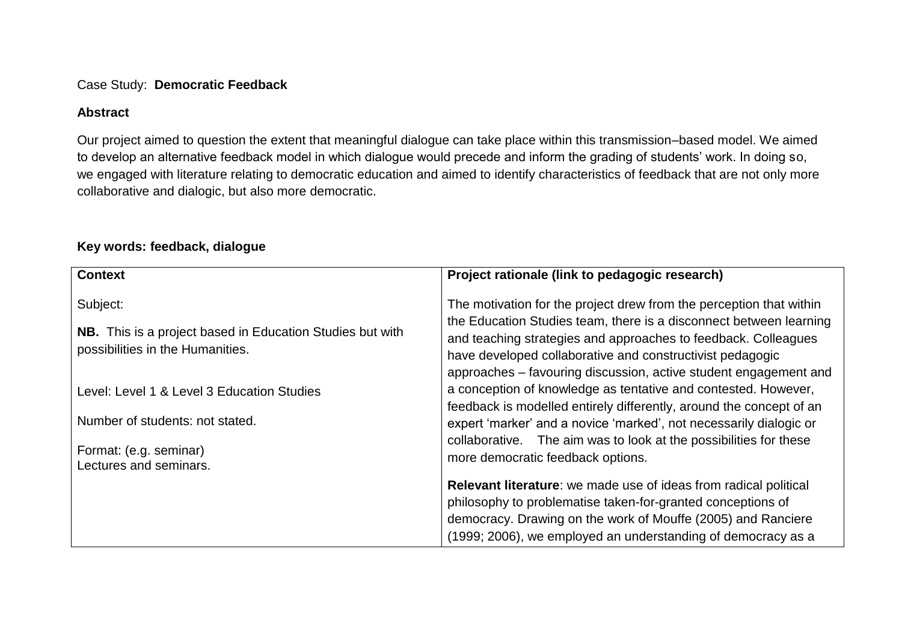#### Case Study: **Democratic Feedback**

## **Abstract**

Our project aimed to question the extent that meaningful dialogue can take place within this transmission–based model. We aimed to develop an alternative feedback model in which dialogue would precede and inform the grading of students' work. In doing so, we engaged with literature relating to democratic education and aimed to identify characteristics of feedback that are not only more collaborative and dialogic, but also more democratic.

#### **Context** Subject: **NB.** This is a project based in Education Studies but with possibilities in the Humanities. Level: Level 1 & Level 3 Education Studies Number of students: not stated. Format: (e.g. seminar) Lectures and seminars. **Project rationale (link to pedagogic research)** The motivation for the project drew from the perception that within the Education Studies team, there is a disconnect between learning and teaching strategies and approaches to feedback. Colleagues have developed collaborative and constructivist pedagogic approaches – favouring discussion, active student engagement and a conception of knowledge as tentative and contested. However, feedback is modelled entirely differently, around the concept of an expert 'marker' and a novice 'marked', not necessarily dialogic or collaborative. The aim was to look at the possibilities for these more democratic feedback options. **Relevant literature**: we made use of ideas from radical political philosophy to problematise taken-for-granted conceptions of democracy. Drawing on the work of Mouffe (2005) and Ranciere (1999; 2006), we employed an understanding of democracy as a

# **Key words: feedback, dialogue**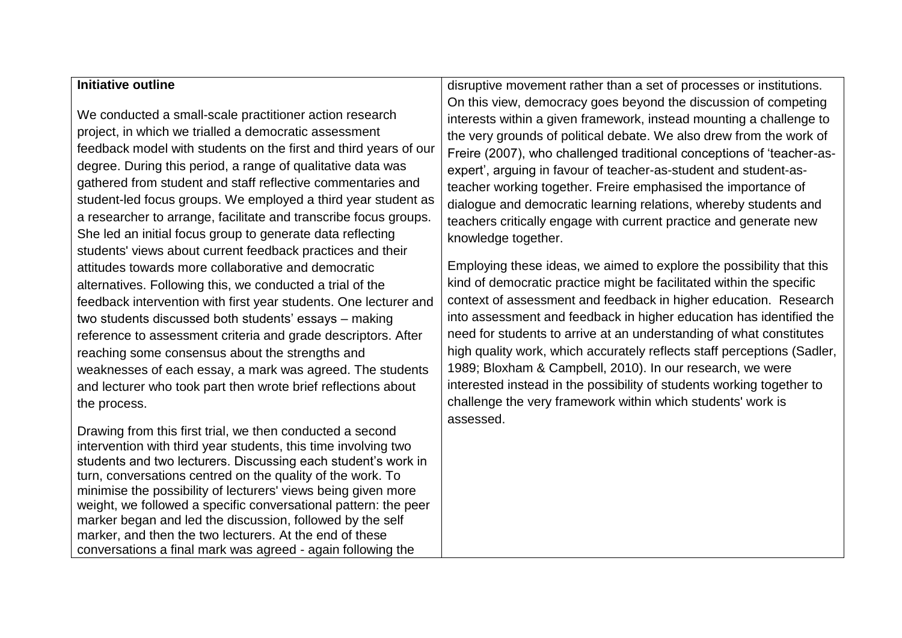### **Initiative outline**

We conducted a small-scale practitioner action research project, in which we trialled a democratic assessment feedback model with students on the first and third years of our degree. During this period, a range of qualitative data was gathered from student and staff reflective commentaries and student-led focus groups. We employed a third year student as a researcher to arrange, facilitate and transcribe focus groups. She led an initial focus group to generate data reflecting students' views about current feedback practices and their attitudes towards more collaborative and democratic alternatives. Following this, we conducted a trial of the feedback intervention with first year students. One lecturer and two students discussed both students' essays – making reference to assessment criteria and grade descriptors. After reaching some consensus about the strengths and weaknesses of each essay, a mark was agreed. The students and lecturer who took part then wrote brief reflections about the process.

Drawing from this first trial, we then conducted a second intervention with third year students, this time involving two students and two lecturers. Discussing each student's work in turn, conversations centred on the quality of the work. To minimise the possibility of lecturers' views being given more weight, we followed a specific conversational pattern: the peer marker began and led the discussion, followed by the self marker, and then the two lecturers. At the end of these conversations a final mark was agreed - again following the

disruptive movement rather than a set of processes or institutions. On this view, democracy goes beyond the discussion of competing interests within a given framework, instead mounting a challenge to the very grounds of political debate. We also drew from the work of Freire (2007), who challenged traditional conceptions of 'teacher-asexpert', arguing in favour of teacher-as-student and student-asteacher working together. Freire emphasised the importance of dialogue and democratic learning relations, whereby students and teachers critically engage with current practice and generate new knowledge together.

Employing these ideas, we aimed to explore the possibility that this kind of democratic practice might be facilitated within the specific context of assessment and feedback in higher education. Research into assessment and feedback in higher education has identified the need for students to arrive at an understanding of what constitutes high quality work, which accurately reflects staff perceptions (Sadler, 1989; Bloxham & Campbell, 2010). In our research, we were interested instead in the possibility of students working together to challenge the very framework within which students' work is assessed.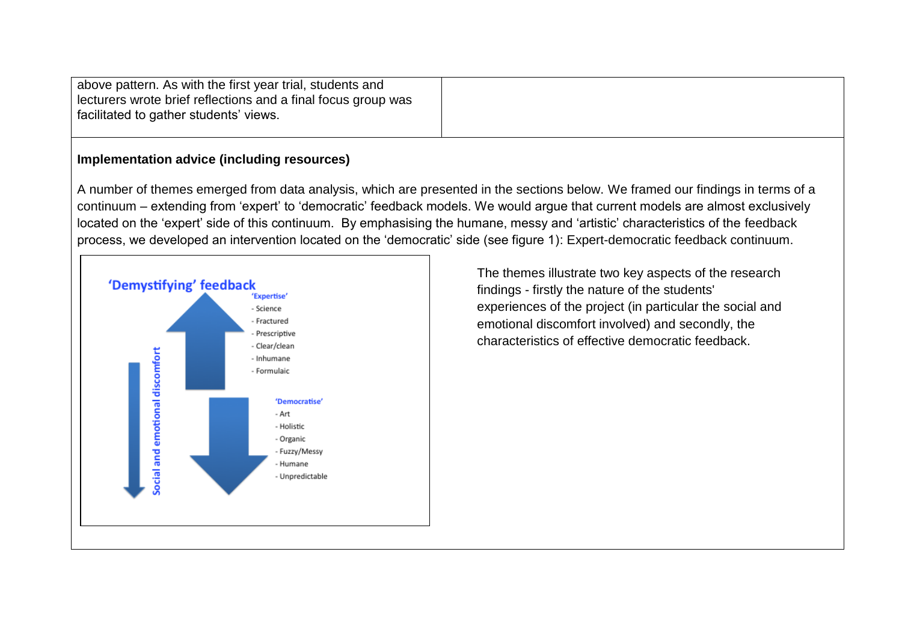| above pattern. As with the first year trial, students and     |
|---------------------------------------------------------------|
| lecturers wrote brief reflections and a final focus group was |
| facilitated to gather students' views.                        |
|                                                               |

### **Implementation advice (including resources)**

A number of themes emerged from data analysis, which are presented in the sections below. We framed our findings in terms of a continuum – extending from 'expert' to 'democratic' feedback models. We would argue that current models are almost exclusively located on the 'expert' side of this continuum. By emphasising the humane, messy and 'artistic' characteristics of the feedback process, we developed an intervention located on the 'democratic' side (see figure 1): Expert-democratic feedback continuum.



The themes illustrate two key aspects of the research findings - firstly the nature of the students' experiences of the project (in particular the social and emotional discomfort involved) and secondly, the characteristics of effective democratic feedback.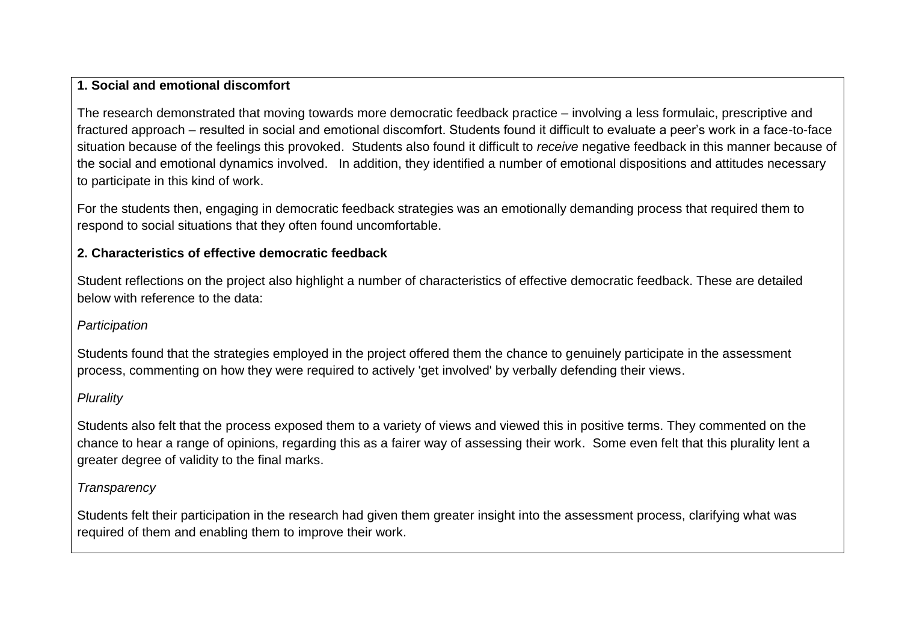## **1. Social and emotional discomfort**

The research demonstrated that moving towards more democratic feedback practice – involving a less formulaic, prescriptive and fractured approach – resulted in social and emotional discomfort. Students found it difficult to evaluate a peer's work in a face-to-face situation because of the feelings this provoked. Students also found it difficult to *receive* negative feedback in this manner because of the social and emotional dynamics involved. In addition, they identified a number of emotional dispositions and attitudes necessary to participate in this kind of work.

For the students then, engaging in democratic feedback strategies was an emotionally demanding process that required them to respond to social situations that they often found uncomfortable.

# **2. Characteristics of effective democratic feedback**

Student reflections on the project also highlight a number of characteristics of effective democratic feedback. These are detailed below with reference to the data:

## *Participation*

Students found that the strategies employed in the project offered them the chance to genuinely participate in the assessment process, commenting on how they were required to actively 'get involved' by verbally defending their views.

# *Plurality*

Students also felt that the process exposed them to a variety of views and viewed this in positive terms. They commented on the chance to hear a range of opinions, regarding this as a fairer way of assessing their work. Some even felt that this plurality lent a greater degree of validity to the final marks.

# *Transparency*

Students felt their participation in the research had given them greater insight into the assessment process, clarifying what was required of them and enabling them to improve their work.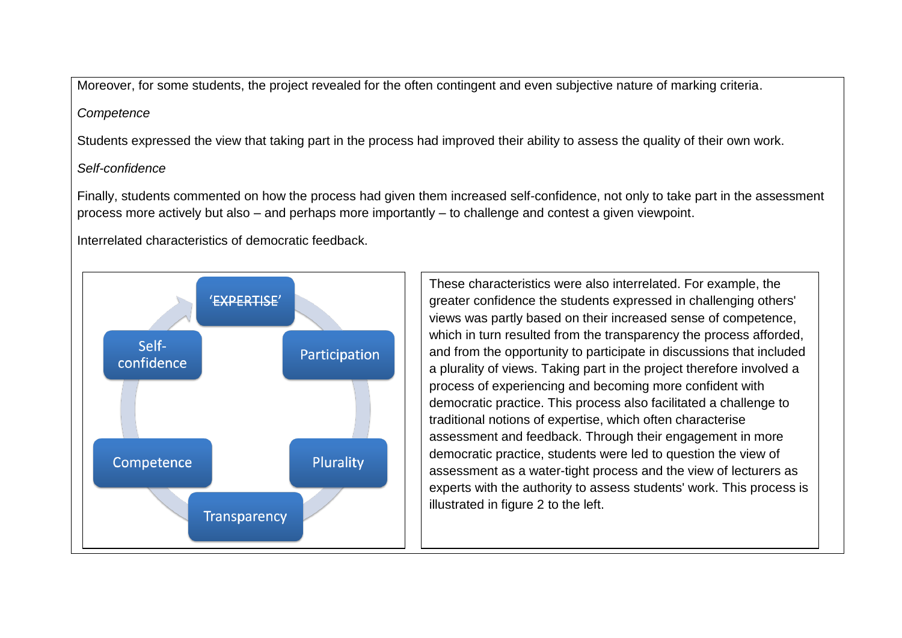Moreover, for some students, the project revealed for the often contingent and even subjective nature of marking criteria.

#### *Competence*

Students expressed the view that taking part in the process had improved their ability to assess the quality of their own work.

# *Self-confidence*

Finally, students commented on how the process had given them increased self-confidence, not only to take part in the assessment process more actively but also – and perhaps more importantly – to challenge and contest a given viewpoint.

Interrelated characteristics of democratic feedback.



These characteristics were also interrelated. For example, the greater confidence the students expressed in challenging others' views was partly based on their increased sense of competence, which in turn resulted from the transparency the process afforded, and from the opportunity to participate in discussions that included a plurality of views. Taking part in the project therefore involved a process of experiencing and becoming more confident with democratic practice. This process also facilitated a challenge to traditional notions of expertise, which often characterise assessment and feedback. Through their engagement in more democratic practice, students were led to question the view of assessment as a water-tight process and the view of lecturers as experts with the authority to assess students' work. This process is illustrated in figure 2 to the left.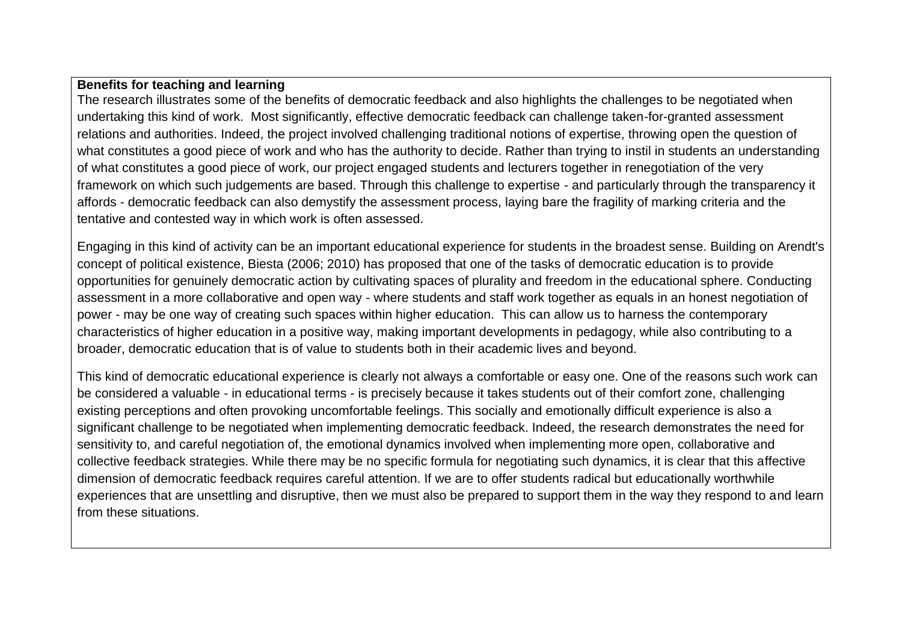## **Benefits for teaching and learning**

The research illustrates some of the benefits of democratic feedback and also highlights the challenges to be negotiated when undertaking this kind of work. Most significantly, effective democratic feedback can challenge taken-for-granted assessment relations and authorities. Indeed, the project involved challenging traditional notions of expertise, throwing open the question of what constitutes a good piece of work and who has the authority to decide. Rather than trying to instil in students an understanding of what constitutes a good piece of work, our project engaged students and lecturers together in renegotiation of the very framework on which such judgements are based. Through this challenge to expertise - and particularly through the transparency it affords - democratic feedback can also demystify the assessment process, laying bare the fragility of marking criteria and the tentative and contested way in which work is often assessed.

Engaging in this kind of activity can be an important educational experience for students in the broadest sense. Building on Arendt's concept of political existence, Biesta (2006; 2010) has proposed that one of the tasks of democratic education is to provide opportunities for genuinely democratic action by cultivating spaces of plurality and freedom in the educational sphere. Conducting assessment in a more collaborative and open way - where students and staff work together as equals in an honest negotiation of power - may be one way of creating such spaces within higher education. This can allow us to harness the contemporary characteristics of higher education in a positive way, making important developments in pedagogy, while also contributing to a broader, democratic education that is of value to students both in their academic lives and beyond.

This kind of democratic educational experience is clearly not always a comfortable or easy one. One of the reasons such work can be considered a valuable - in educational terms - is precisely because it takes students out of their comfort zone, challenging existing perceptions and often provoking uncomfortable feelings. This socially and emotionally difficult experience is also a significant challenge to be negotiated when implementing democratic feedback. Indeed, the research demonstrates the need for sensitivity to, and careful negotiation of, the emotional dynamics involved when implementing more open, collaborative and collective feedback strategies. While there may be no specific formula for negotiating such dynamics, it is clear that this affective dimension of democratic feedback requires careful attention. If we are to offer students radical but educationally worthwhile experiences that are unsettling and disruptive, then we must also be prepared to support them in the way they respond to and learn from these situations.